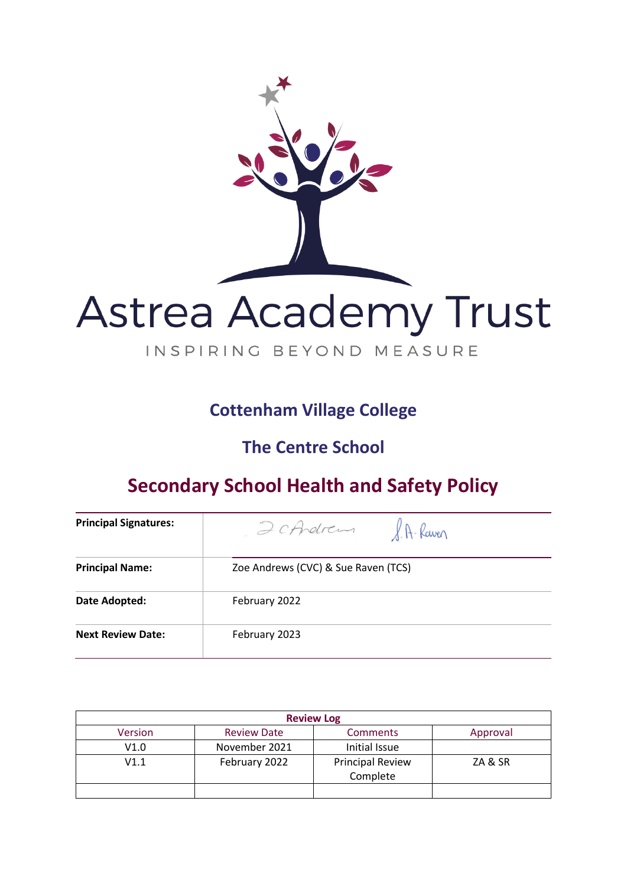

## **Cottenham Village College**

## **The Centre School**

# **Secondary School Health and Safety Policy**

| <b>Principal Signatures:</b> | P.A. Raven<br>2 cArdren             |
|------------------------------|-------------------------------------|
| <b>Principal Name:</b>       | Zoe Andrews (CVC) & Sue Raven (TCS) |
| Date Adopted:                | February 2022                       |
| <b>Next Review Date:</b>     | February 2023                       |

| <b>Review Log</b> |                    |                                     |          |
|-------------------|--------------------|-------------------------------------|----------|
| <b>Version</b>    | <b>Review Date</b> | <b>Comments</b>                     | Approval |
| V1.0              | November 2021      | Initial Issue                       |          |
| V1.1              | February 2022      | <b>Principal Review</b><br>Complete | ZA & SR  |
|                   |                    |                                     |          |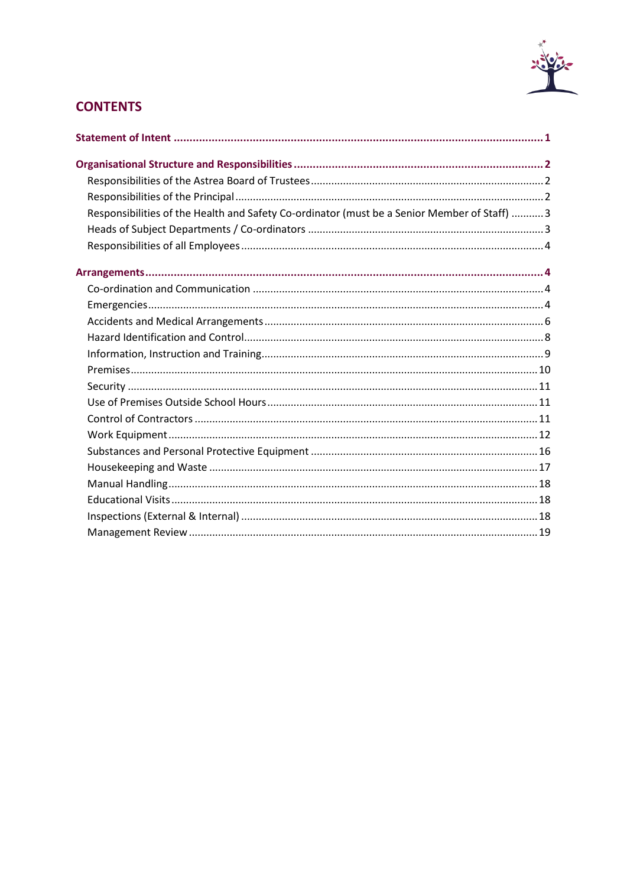

## **CONTENTS**

| Responsibilities of the Health and Safety Co-ordinator (must be a Senior Member of Staff)  3 |  |
|----------------------------------------------------------------------------------------------|--|
|                                                                                              |  |
|                                                                                              |  |
|                                                                                              |  |
|                                                                                              |  |
|                                                                                              |  |
|                                                                                              |  |
|                                                                                              |  |
|                                                                                              |  |
|                                                                                              |  |
|                                                                                              |  |
|                                                                                              |  |
|                                                                                              |  |
|                                                                                              |  |
|                                                                                              |  |
|                                                                                              |  |
|                                                                                              |  |
|                                                                                              |  |
|                                                                                              |  |
|                                                                                              |  |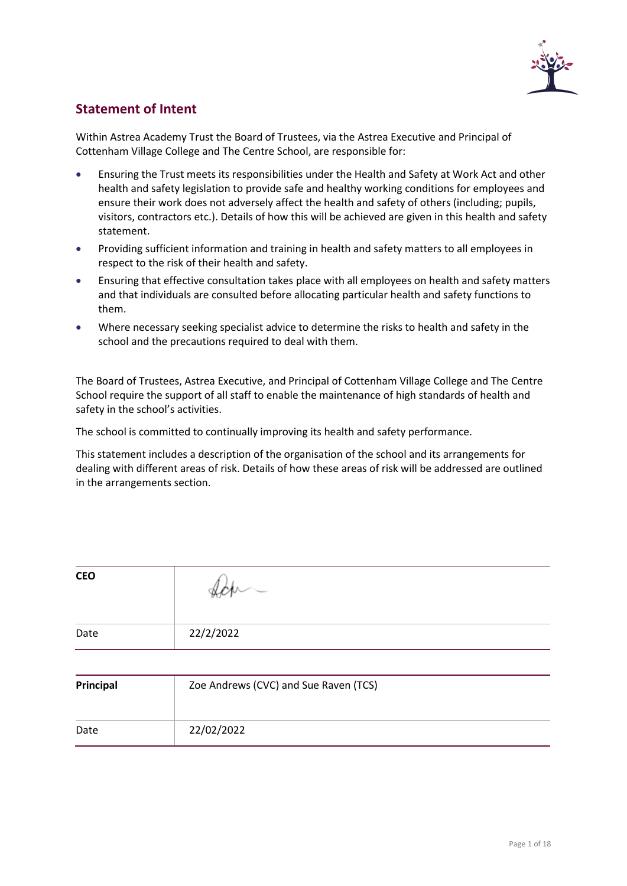

## <span id="page-2-0"></span>**Statement of Intent**

Within Astrea Academy Trust the Board of Trustees, via the Astrea Executive and Principal of Cottenham Village College and The Centre School, are responsible for:

- Ensuring the Trust meets its responsibilities under the Health and Safety at Work Act and other health and safety legislation to provide safe and healthy working conditions for employees and ensure their work does not adversely affect the health and safety of others (including; pupils, visitors, contractors etc.). Details of how this will be achieved are given in this health and safety statement.
- Providing sufficient information and training in health and safety matters to all employees in respect to the risk of their health and safety.
- Ensuring that effective consultation takes place with all employees on health and safety matters and that individuals are consulted before allocating particular health and safety functions to them.
- Where necessary seeking specialist advice to determine the risks to health and safety in the school and the precautions required to deal with them.

The Board of Trustees, Astrea Executive, and Principal of Cottenham Village College and The Centre School require the support of all staff to enable the maintenance of high standards of health and safety in the school's activities.

The school is committed to continually improving its health and safety performance.

This statement includes a description of the organisation of the school and its arrangements for dealing with different areas of risk. Details of how these areas of risk will be addressed are outlined in the arrangements section.

| <b>CEO</b> | $W^{\sim}$ |
|------------|------------|
| Date       | 22/2/2022  |
|            |            |

| Principal | Zoe Andrews (CVC) and Sue Raven (TCS) |
|-----------|---------------------------------------|
| Date      | 22/02/2022                            |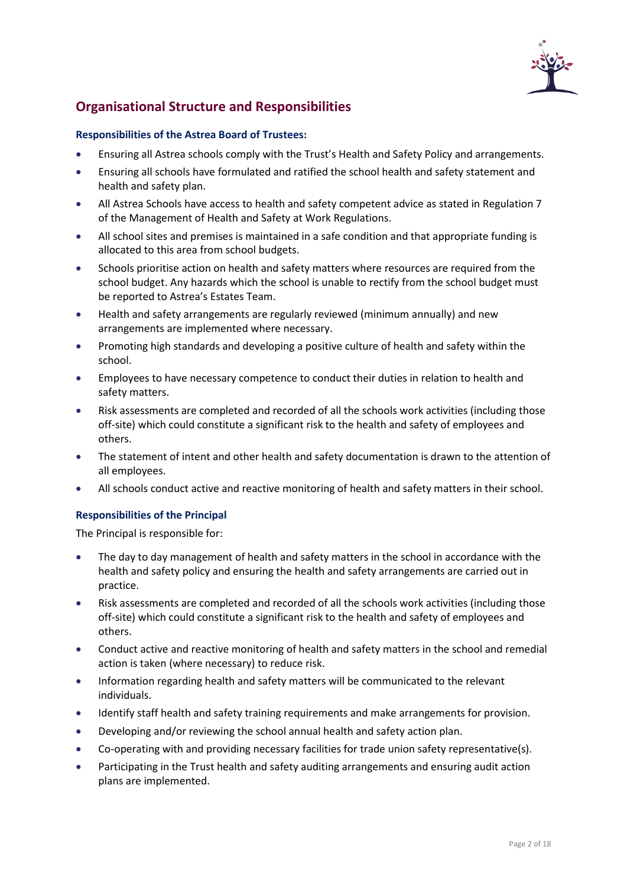

## <span id="page-3-0"></span>**Organisational Structure and Responsibilities**

#### <span id="page-3-1"></span>**Responsibilities of the Astrea Board of Trustees:**

- Ensuring all Astrea schools comply with the Trust's Health and Safety Policy and arrangements.
- Ensuring all schools have formulated and ratified the school health and safety statement and health and safety plan.
- All Astrea Schools have access to health and safety competent advice as stated in Regulation 7 of the Management of Health and Safety at Work Regulations.
- All school sites and premises is maintained in a safe condition and that appropriate funding is allocated to this area from school budgets.
- Schools prioritise action on health and safety matters where resources are required from the school budget. Any hazards which the school is unable to rectify from the school budget must be reported to Astrea's Estates Team.
- Health and safety arrangements are regularly reviewed (minimum annually) and new arrangements are implemented where necessary.
- Promoting high standards and developing a positive culture of health and safety within the school.
- Employees to have necessary competence to conduct their duties in relation to health and safety matters.
- Risk assessments are completed and recorded of all the schools work activities (including those off-site) which could constitute a significant risk to the health and safety of employees and others.
- The statement of intent and other health and safety documentation is drawn to the attention of all employees.
- All schools conduct active and reactive monitoring of health and safety matters in their school.

#### <span id="page-3-2"></span>**Responsibilities of the Principal**

The Principal is responsible for:

- The day to day management of health and safety matters in the school in accordance with the health and safety policy and ensuring the health and safety arrangements are carried out in practice.
- Risk assessments are completed and recorded of all the schools work activities (including those off-site) which could constitute a significant risk to the health and safety of employees and others.
- Conduct active and reactive monitoring of health and safety matters in the school and remedial action is taken (where necessary) to reduce risk.
- Information regarding health and safety matters will be communicated to the relevant individuals.
- Identify staff health and safety training requirements and make arrangements for provision.
- Developing and/or reviewing the school annual health and safety action plan.
- Co-operating with and providing necessary facilities for trade union safety representative(s).
- Participating in the Trust health and safety auditing arrangements and ensuring audit action plans are implemented.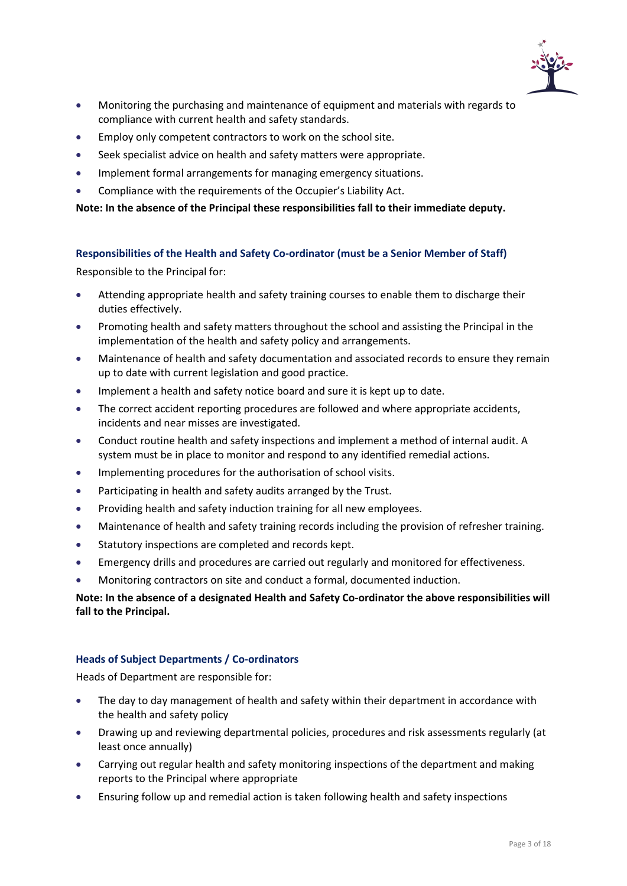

- Monitoring the purchasing and maintenance of equipment and materials with regards to compliance with current health and safety standards.
- Employ only competent contractors to work on the school site.
- Seek specialist advice on health and safety matters were appropriate.
- Implement formal arrangements for managing emergency situations.
- Compliance with the requirements of the Occupier's Liability Act.

**Note: In the absence of the Principal these responsibilities fall to their immediate deputy.**

#### <span id="page-4-0"></span>**Responsibilities of the Health and Safety Co-ordinator (must be a Senior Member of Staff)**

Responsible to the Principal for:

- Attending appropriate health and safety training courses to enable them to discharge their duties effectively.
- Promoting health and safety matters throughout the school and assisting the Principal in the implementation of the health and safety policy and arrangements.
- Maintenance of health and safety documentation and associated records to ensure they remain up to date with current legislation and good practice.
- Implement a health and safety notice board and sure it is kept up to date.
- The correct accident reporting procedures are followed and where appropriate accidents, incidents and near misses are investigated.
- Conduct routine health and safety inspections and implement a method of internal audit. A system must be in place to monitor and respond to any identified remedial actions.
- Implementing procedures for the authorisation of school visits.
- Participating in health and safety audits arranged by the Trust.
- Providing health and safety induction training for all new employees.
- Maintenance of health and safety training records including the provision of refresher training.
- Statutory inspections are completed and records kept.
- Emergency drills and procedures are carried out regularly and monitored for effectiveness.
- Monitoring contractors on site and conduct a formal, documented induction.

#### **Note: In the absence of a designated Health and Safety Co-ordinator the above responsibilities will fall to the Principal.**

#### <span id="page-4-1"></span>**Heads of Subject Departments / Co-ordinators**

Heads of Department are responsible for:

- The day to day management of health and safety within their department in accordance with the health and safety policy
- Drawing up and reviewing departmental policies, procedures and risk assessments regularly (at least once annually)
- Carrying out regular health and safety monitoring inspections of the department and making reports to the Principal where appropriate
- Ensuring follow up and remedial action is taken following health and safety inspections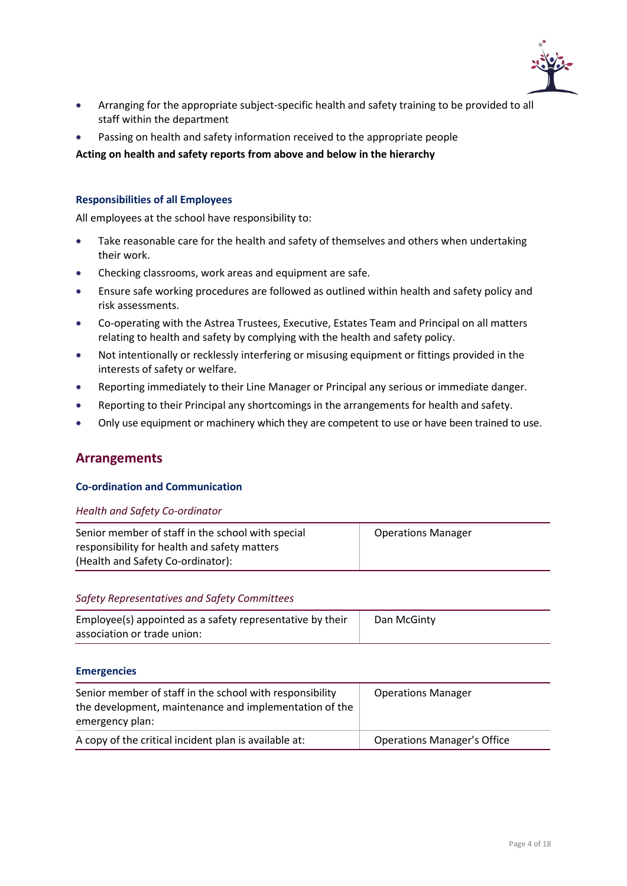

- Arranging for the appropriate subject-specific health and safety training to be provided to all staff within the department
- Passing on health and safety information received to the appropriate people

**Acting on health and safety reports from above and below in the hierarchy** 

#### <span id="page-5-0"></span>**Responsibilities of all Employees**

All employees at the school have responsibility to:

- Take reasonable care for the health and safety of themselves and others when undertaking their work.
- Checking classrooms, work areas and equipment are safe.
- Ensure safe working procedures are followed as outlined within health and safety policy and risk assessments.
- Co-operating with the Astrea Trustees, Executive, Estates Team and Principal on all matters relating to health and safety by complying with the health and safety policy.
- Not intentionally or recklessly interfering or misusing equipment or fittings provided in the interests of safety or welfare.
- Reporting immediately to their Line Manager or Principal any serious or immediate danger.
- Reporting to their Principal any shortcomings in the arrangements for health and safety.
- <span id="page-5-1"></span>• Only use equipment or machinery which they are competent to use or have been trained to use.

### **Arrangements**

#### <span id="page-5-2"></span>**Co-ordination and Communication**

#### *Health and Safety Co-ordinator*

| Senior member of staff in the school with special | <b>Operations Manager</b> |
|---------------------------------------------------|---------------------------|
| responsibility for health and safety matters      |                           |
| (Health and Safety Co-ordinator):                 |                           |

#### *Safety Representatives and Safety Committees*

| Employee(s) appointed as a safety representative by their | Dan McGinty |
|-----------------------------------------------------------|-------------|
| association or trade union:                               |             |

#### <span id="page-5-3"></span>**Emergencies**

| Senior member of staff in the school with responsibility<br>the development, maintenance and implementation of the<br>emergency plan: | <b>Operations Manager</b>          |
|---------------------------------------------------------------------------------------------------------------------------------------|------------------------------------|
| A copy of the critical incident plan is available at:                                                                                 | <b>Operations Manager's Office</b> |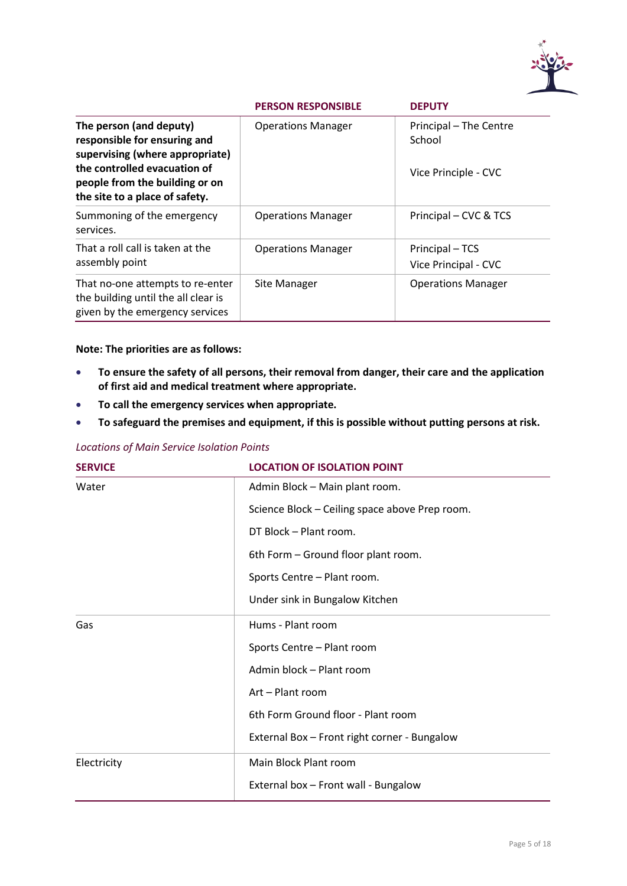

|                                                                                                                            | <b>PERSON RESPONSIBLE</b> | <b>DEPUTY</b>                           |
|----------------------------------------------------------------------------------------------------------------------------|---------------------------|-----------------------------------------|
| The person (and deputy)<br>responsible for ensuring and<br>supervising (where appropriate)<br>the controlled evacuation of | <b>Operations Manager</b> | Principal - The Centre<br>School        |
| people from the building or on<br>the site to a place of safety.                                                           |                           | Vice Principle - CVC                    |
| Summoning of the emergency<br>services.                                                                                    | <b>Operations Manager</b> | Principal – CVC & TCS                   |
| That a roll call is taken at the<br>assembly point                                                                         | <b>Operations Manager</b> | Principal - TCS<br>Vice Principal - CVC |
| That no-one attempts to re-enter<br>the building until the all clear is<br>given by the emergency services                 | Site Manager              | <b>Operations Manager</b>               |

#### **Note: The priorities are as follows:**

- **To ensure the safety of all persons, their removal from danger, their care and the application of first aid and medical treatment where appropriate.**
- **To call the emergency services when appropriate.**
- **To safeguard the premises and equipment, if this is possible without putting persons at risk.**

#### *Locations of Main Service Isolation Points*

| <b>SERVICE</b> | <b>LOCATION OF ISOLATION POINT</b>             |  |
|----------------|------------------------------------------------|--|
| Water          | Admin Block - Main plant room.                 |  |
|                | Science Block - Ceiling space above Prep room. |  |
|                | DT Block - Plant room.                         |  |
|                | 6th Form - Ground floor plant room.            |  |
|                | Sports Centre - Plant room.                    |  |
|                | Under sink in Bungalow Kitchen                 |  |
| Gas            | Hums - Plant room                              |  |
|                | Sports Centre - Plant room                     |  |
|                | Admin block - Plant room                       |  |
|                | Art - Plant room                               |  |
|                | 6th Form Ground floor - Plant room             |  |
|                | External Box - Front right corner - Bungalow   |  |
| Electricity    | Main Block Plant room                          |  |
|                | External box - Front wall - Bungalow           |  |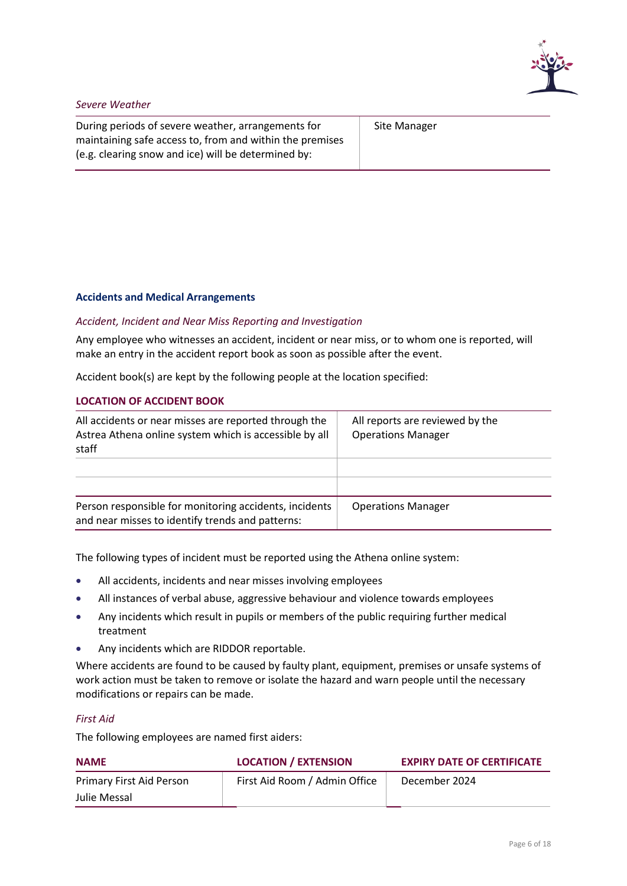

#### *Severe Weather*

During periods of severe weather, arrangements for maintaining safe access to, from and within the premises (e.g. clearing snow and ice) will be determined by:

Site Manager

#### <span id="page-7-0"></span>**Accidents and Medical Arrangements**

#### *Accident, Incident and Near Miss Reporting and Investigation*

Any employee who witnesses an accident, incident or near miss, or to whom one is reported, will make an entry in the accident report book as soon as possible after the event.

Accident book(s) are kept by the following people at the location specified:

#### **LOCATION OF ACCIDENT BOOK**

| All accidents or near misses are reported through the<br>Astrea Athena online system which is accessible by all<br>staff | All reports are reviewed by the<br><b>Operations Manager</b> |
|--------------------------------------------------------------------------------------------------------------------------|--------------------------------------------------------------|
|                                                                                                                          |                                                              |
| Person responsible for monitoring accidents, incidents<br>and near misses to identify trends and patterns:               | <b>Operations Manager</b>                                    |

The following types of incident must be reported using the Athena online system:

- All accidents, incidents and near misses involving employees
- All instances of verbal abuse, aggressive behaviour and violence towards employees
- Any incidents which result in pupils or members of the public requiring further medical treatment
- Any incidents which are RIDDOR reportable.

Where accidents are found to be caused by faulty plant, equipment, premises or unsafe systems of work action must be taken to remove or isolate the hazard and warn people until the necessary modifications or repairs can be made.

#### *First Aid*

The following employees are named first aiders:

| <b>NAME</b>              | <b>LOCATION / EXTENSION</b>   | <b>EXPIRY DATE OF CERTIFICATE</b> |
|--------------------------|-------------------------------|-----------------------------------|
| Primary First Aid Person | First Aid Room / Admin Office | December 2024                     |
| Julie Messal             |                               |                                   |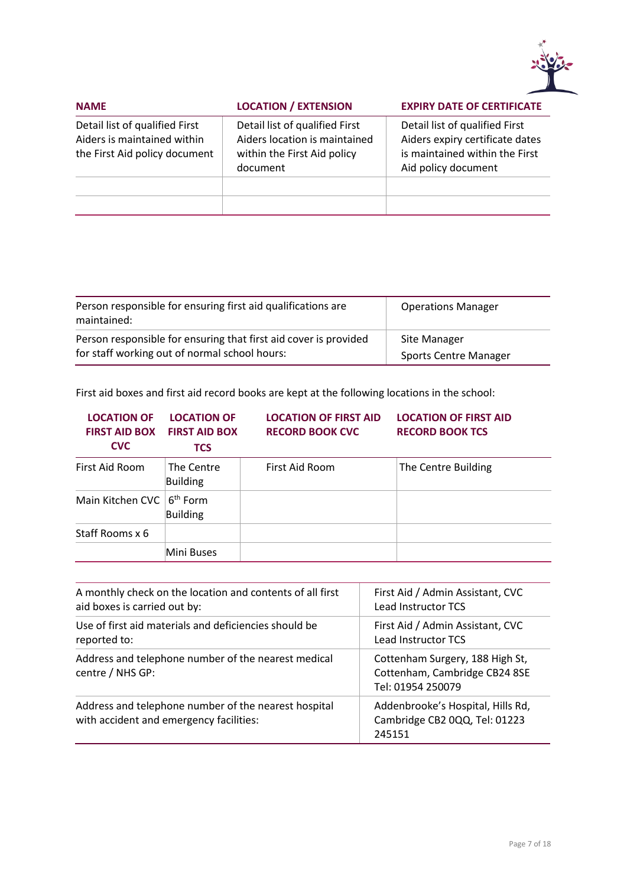

| <b>NAME</b>                                                                                    | <b>LOCATION / EXTENSION</b>                                                                                | <b>EXPIRY DATE OF CERTIFICATE</b>                                                                                          |
|------------------------------------------------------------------------------------------------|------------------------------------------------------------------------------------------------------------|----------------------------------------------------------------------------------------------------------------------------|
| Detail list of qualified First<br>Aiders is maintained within<br>the First Aid policy document | Detail list of qualified First<br>Aiders location is maintained<br>within the First Aid policy<br>document | Detail list of qualified First<br>Aiders expiry certificate dates<br>is maintained within the First<br>Aid policy document |
|                                                                                                |                                                                                                            |                                                                                                                            |

| Person responsible for ensuring first aid qualifications are<br>maintained: | <b>Operations Manager</b>    |
|-----------------------------------------------------------------------------|------------------------------|
| Person responsible for ensuring that first aid cover is provided            | Site Manager                 |
| for staff working out of normal school hours:                               | <b>Sports Centre Manager</b> |

First aid boxes and first aid record books are kept at the following locations in the school:

| <b>LOCATION OF</b><br><b>FIRST AID BOX</b><br><b>CVC</b> | <b>LOCATION OF</b><br><b>FIRST AID BOX</b><br><b>TCS</b> | <b>LOCATION OF FIRST AID</b><br><b>RECORD BOOK CVC</b> | <b>LOCATION OF FIRST AID</b><br><b>RECORD BOOK TCS</b> |
|----------------------------------------------------------|----------------------------------------------------------|--------------------------------------------------------|--------------------------------------------------------|
| First Aid Room                                           | The Centre<br>Building                                   | First Aid Room                                         | The Centre Building                                    |
| Main Kitchen CVC                                         | 6 <sup>th</sup> Form<br>Building                         |                                                        |                                                        |
| Staff Rooms x 6                                          |                                                          |                                                        |                                                        |
|                                                          | Mini Buses                                               |                                                        |                                                        |

| A monthly check on the location and contents of all first                                       | First Aid / Admin Assistant, CVC                                                      |
|-------------------------------------------------------------------------------------------------|---------------------------------------------------------------------------------------|
| aid boxes is carried out by:                                                                    | <b>Lead Instructor TCS</b>                                                            |
| Use of first aid materials and deficiencies should be                                           | First Aid / Admin Assistant, CVC                                                      |
| reported to:                                                                                    | <b>Lead Instructor TCS</b>                                                            |
| Address and telephone number of the nearest medical<br>centre / NHS GP:                         | Cottenham Surgery, 188 High St,<br>Cottenham, Cambridge CB24 8SE<br>Tel: 01954 250079 |
| Address and telephone number of the nearest hospital<br>with accident and emergency facilities: | Addenbrooke's Hospital, Hills Rd,<br>Cambridge CB2 0QQ, Tel: 01223<br>245151          |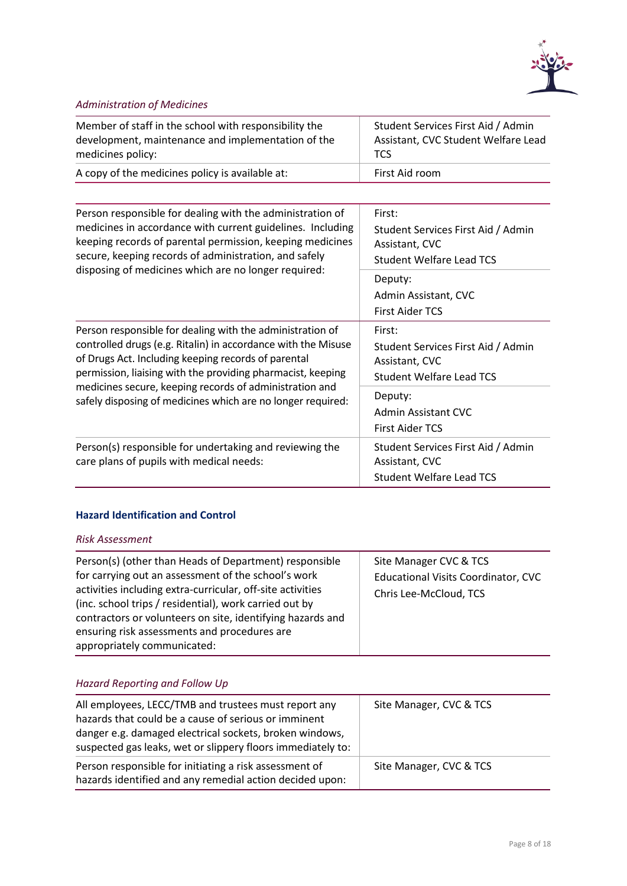

## *Administration of Medicines*

| Member of staff in the school with responsibility the | Student Services First Aid / Admin  |
|-------------------------------------------------------|-------------------------------------|
| development, maintenance and implementation of the    | Assistant, CVC Student Welfare Lead |
| medicines policy:                                     | TCS                                 |
| A copy of the medicines policy is available at:       | First Aid room                      |

| Person responsible for dealing with the administration of<br>medicines in accordance with current guidelines. Including<br>keeping records of parental permission, keeping medicines<br>secure, keeping records of administration, and safely<br>disposing of medicines which are no longer required:                                                                      | First:<br>Student Services First Aid / Admin<br>Assistant, CVC<br><b>Student Welfare Lead TCS</b><br>Deputy:<br>Admin Assistant, CVC |
|----------------------------------------------------------------------------------------------------------------------------------------------------------------------------------------------------------------------------------------------------------------------------------------------------------------------------------------------------------------------------|--------------------------------------------------------------------------------------------------------------------------------------|
| Person responsible for dealing with the administration of<br>controlled drugs (e.g. Ritalin) in accordance with the Misuse<br>of Drugs Act. Including keeping records of parental<br>permission, liaising with the providing pharmacist, keeping<br>medicines secure, keeping records of administration and<br>safely disposing of medicines which are no longer required: | <b>First Aider TCS</b><br>First:<br>Student Services First Aid / Admin<br>Assistant, CVC<br>Student Welfare Lead TCS                 |
|                                                                                                                                                                                                                                                                                                                                                                            | Deputy:<br>Admin Assistant CVC<br><b>First Aider TCS</b>                                                                             |
| Person(s) responsible for undertaking and reviewing the<br>care plans of pupils with medical needs:                                                                                                                                                                                                                                                                        | Student Services First Aid / Admin<br>Assistant, CVC<br><b>Student Welfare Lead TCS</b>                                              |

### <span id="page-9-0"></span>**Hazard Identification and Control**

#### *Risk Assessment*

## *Hazard Reporting and Follow Up*

| All employees, LECC/TMB and trustees must report any<br>hazards that could be a cause of serious or imminent<br>danger e.g. damaged electrical sockets, broken windows,<br>suspected gas leaks, wet or slippery floors immediately to: | Site Manager, CVC & TCS |
|----------------------------------------------------------------------------------------------------------------------------------------------------------------------------------------------------------------------------------------|-------------------------|
| Person responsible for initiating a risk assessment of<br>hazards identified and any remedial action decided upon:                                                                                                                     | Site Manager, CVC & TCS |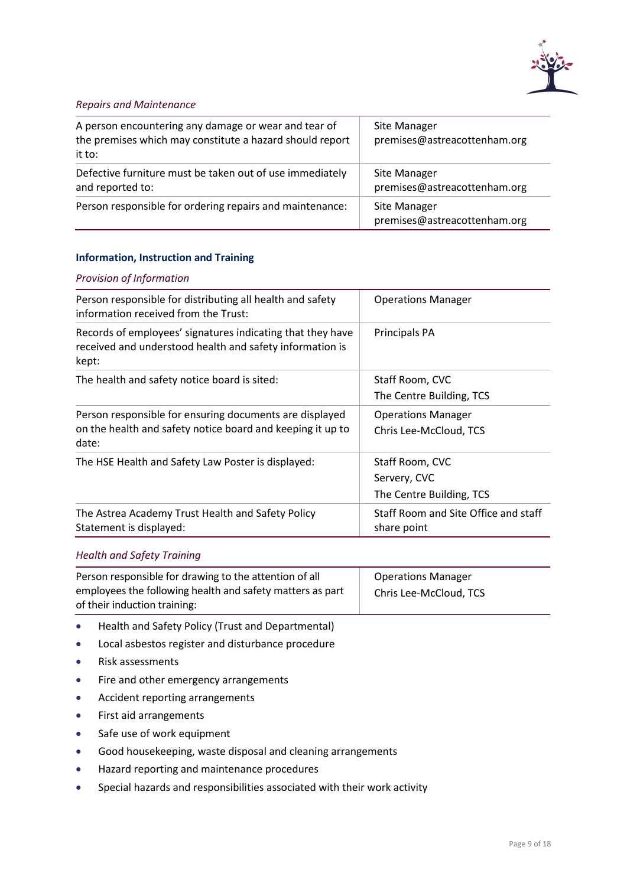

#### *Repairs and Maintenance*

| A person encountering any damage or wear and tear of<br>the premises which may constitute a hazard should report<br>it to: | Site Manager<br>premises@astreacottenham.org        |
|----------------------------------------------------------------------------------------------------------------------------|-----------------------------------------------------|
| Defective furniture must be taken out of use immediately<br>and reported to:                                               | Site Manager<br>premises@astreacottenham.org        |
| Person responsible for ordering repairs and maintenance:                                                                   | <b>Site Manager</b><br>premises@astreacottenham.org |

#### <span id="page-10-0"></span>**Information, Instruction and Training**

#### *Provision of Information*

| Person responsible for distributing all health and safety<br>information received from the Trust:                               | <b>Operations Manager</b>            |
|---------------------------------------------------------------------------------------------------------------------------------|--------------------------------------|
| Records of employees' signatures indicating that they have<br>received and understood health and safety information is<br>kept: | Principals PA                        |
| The health and safety notice board is sited:                                                                                    | Staff Room, CVC                      |
|                                                                                                                                 | The Centre Building, TCS             |
| Person responsible for ensuring documents are displayed                                                                         | <b>Operations Manager</b>            |
| on the health and safety notice board and keeping it up to<br>date:                                                             | Chris Lee-McCloud, TCS               |
| The HSE Health and Safety Law Poster is displayed:                                                                              | Staff Room, CVC                      |
|                                                                                                                                 | Servery, CVC                         |
|                                                                                                                                 | The Centre Building, TCS             |
| The Astrea Academy Trust Health and Safety Policy                                                                               | Staff Room and Site Office and staff |
| Statement is displayed:                                                                                                         | share point                          |

#### *Health and Safety Training*

| Person responsible for drawing to the attention of all    | <b>Operations Manager</b> |
|-----------------------------------------------------------|---------------------------|
| employees the following health and safety matters as part | Chris Lee-McCloud, TCS    |
| of their induction training:                              |                           |

- Health and Safety Policy (Trust and Departmental)
- Local asbestos register and disturbance procedure
- Risk assessments
- Fire and other emergency arrangements
- Accident reporting arrangements
- First aid arrangements
- Safe use of work equipment
- Good housekeeping, waste disposal and cleaning arrangements
- Hazard reporting and maintenance procedures
- Special hazards and responsibilities associated with their work activity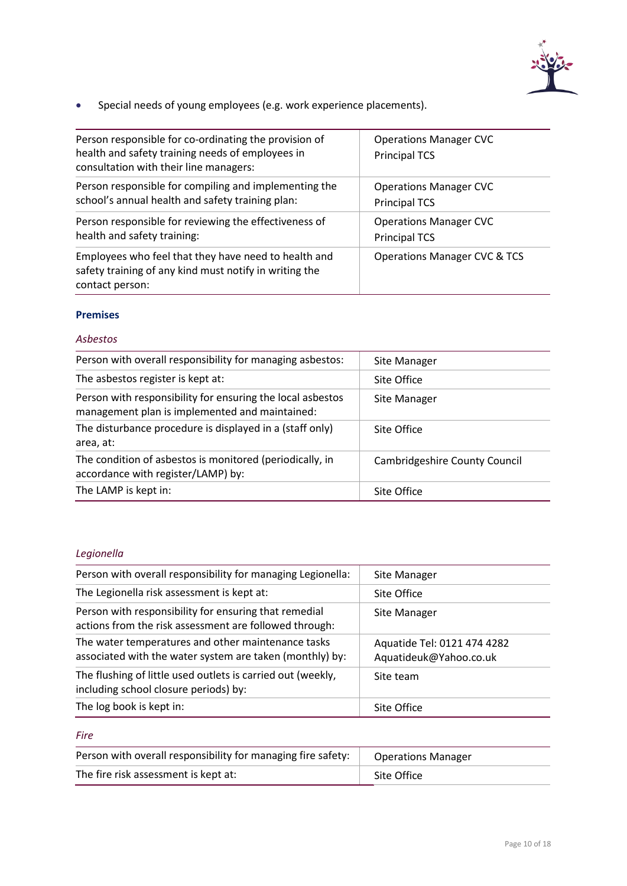

• Special needs of young employees (e.g. work experience placements).

| Person responsible for co-ordinating the provision of<br>health and safety training needs of employees in<br>consultation with their line managers: | <b>Operations Manager CVC</b><br><b>Principal TCS</b> |
|-----------------------------------------------------------------------------------------------------------------------------------------------------|-------------------------------------------------------|
| Person responsible for compiling and implementing the                                                                                               | <b>Operations Manager CVC</b>                         |
| school's annual health and safety training plan:                                                                                                    | <b>Principal TCS</b>                                  |
| Person responsible for reviewing the effectiveness of                                                                                               | <b>Operations Manager CVC</b>                         |
| health and safety training:                                                                                                                         | <b>Principal TCS</b>                                  |
| Employees who feel that they have need to health and<br>safety training of any kind must notify in writing the<br>contact person:                   | <b>Operations Manager CVC &amp; TCS</b>               |

#### <span id="page-11-0"></span>**Premises**

#### *Asbestos*

| Person with overall responsibility for managing asbestos:                                                    | Site Manager                         |
|--------------------------------------------------------------------------------------------------------------|--------------------------------------|
| The asbestos register is kept at:                                                                            | Site Office                          |
| Person with responsibility for ensuring the local asbestos<br>management plan is implemented and maintained: | Site Manager                         |
| The disturbance procedure is displayed in a (staff only)<br>area, at:                                        | Site Office                          |
| The condition of asbestos is monitored (periodically, in<br>accordance with register/LAMP) by:               | <b>Cambridgeshire County Council</b> |
| The LAMP is kept in:                                                                                         | Site Office                          |

## *Legionella*

| Person with overall responsibility for managing Legionella:                                                     | Site Manager                                          |
|-----------------------------------------------------------------------------------------------------------------|-------------------------------------------------------|
| The Legionella risk assessment is kept at:                                                                      | Site Office                                           |
| Person with responsibility for ensuring that remedial<br>actions from the risk assessment are followed through: | Site Manager                                          |
| The water temperatures and other maintenance tasks<br>associated with the water system are taken (monthly) by:  | Aquatide Tel: 0121 474 4282<br>Aquatideuk@Yahoo.co.uk |
| The flushing of little used outlets is carried out (weekly,<br>including school closure periods) by:            | Site team                                             |
| The log book is kept in:                                                                                        | Site Office                                           |

## *Fire*

| Person with overall responsibility for managing fire safety: | <b>Operations Manager</b> |
|--------------------------------------------------------------|---------------------------|
| The fire risk assessment is kept at:                         | Site Office               |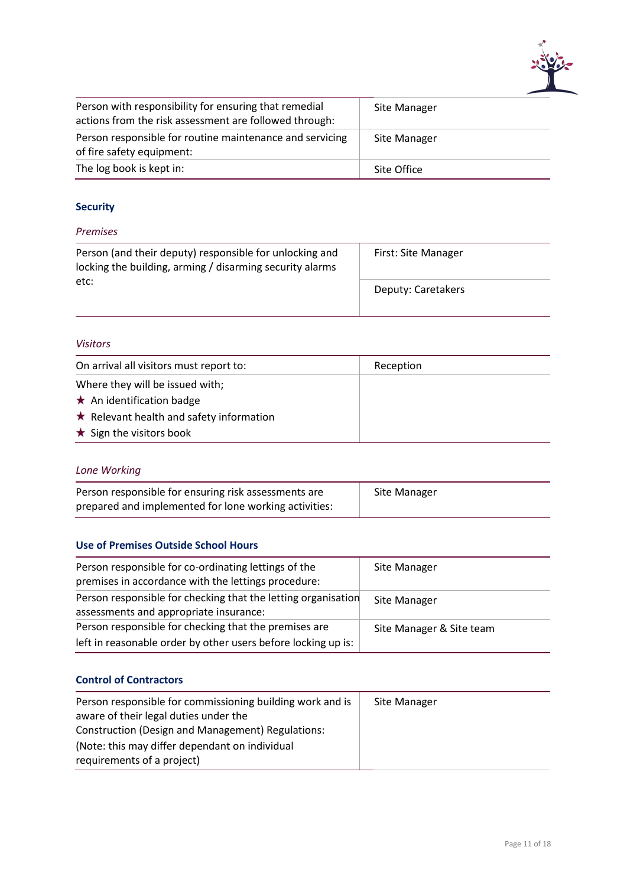

| Person with responsibility for ensuring that remedial<br>actions from the risk assessment are followed through: | Site Manager |
|-----------------------------------------------------------------------------------------------------------------|--------------|
| Person responsible for routine maintenance and servicing<br>of fire safety equipment:                           | Site Manager |
| The log book is kept in:                                                                                        | Site Office  |

## <span id="page-12-0"></span>**Security**

#### *Premises*

| Person (and their deputy) responsible for unlocking and<br>locking the building, arming / disarming security alarms | First: Site Manager |
|---------------------------------------------------------------------------------------------------------------------|---------------------|
| etc:                                                                                                                | Deputy: Caretakers  |

#### *Visitors*

| On arrival all visitors must report to:        | Reception |
|------------------------------------------------|-----------|
| Where they will be issued with;                |           |
| $\star$ An identification badge                |           |
| $\star$ Relevant health and safety information |           |
| $\star$ Sign the visitors book                 |           |
|                                                |           |

## *Lone Working*

| Person responsible for ensuring risk assessments are  | Site Manager |
|-------------------------------------------------------|--------------|
| prepared and implemented for lone working activities: |              |

#### <span id="page-12-1"></span>**Use of Premises Outside School Hours**

| Person responsible for co-ordinating lettings of the<br>premises in accordance with the lettings procedure: | Site Manager             |
|-------------------------------------------------------------------------------------------------------------|--------------------------|
| Person responsible for checking that the letting organisation<br>assessments and appropriate insurance:     | Site Manager             |
| Person responsible for checking that the premises are                                                       | Site Manager & Site team |
| left in reasonable order by other users before locking up is:                                               |                          |

#### <span id="page-12-2"></span>**Control of Contractors**

| Person responsible for commissioning building work and is | Site Manager |
|-----------------------------------------------------------|--------------|
| aware of their legal duties under the                     |              |
| Construction (Design and Management) Regulations:         |              |
| (Note: this may differ dependant on individual            |              |
| requirements of a project)                                |              |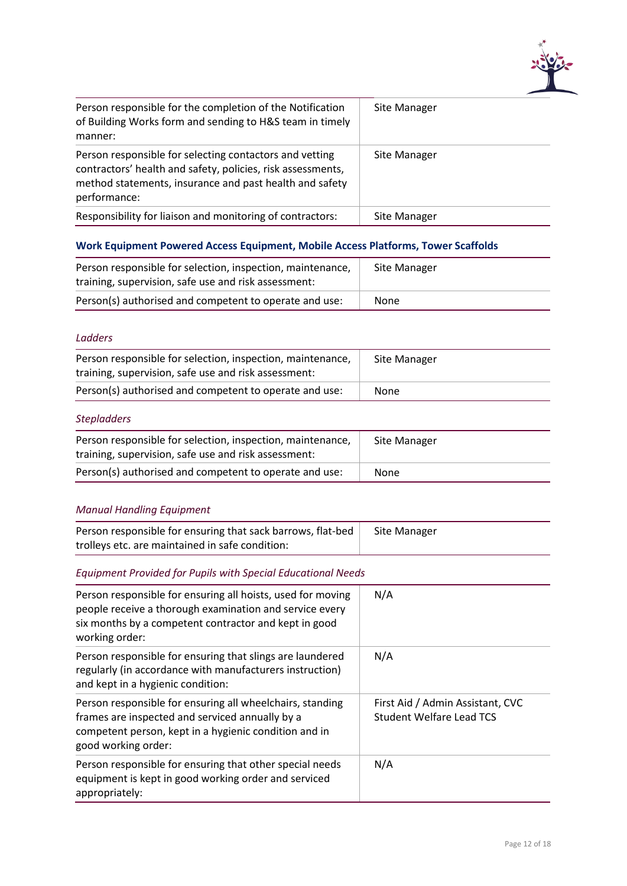

| Person responsible for the completion of the Notification<br>of Building Works form and sending to H&S team in timely<br>manner:                                                                  | Site Manager |
|---------------------------------------------------------------------------------------------------------------------------------------------------------------------------------------------------|--------------|
| Person responsible for selecting contactors and vetting<br>contractors' health and safety, policies, risk assessments,<br>method statements, insurance and past health and safety<br>performance: | Site Manager |
| Responsibility for liaison and monitoring of contractors:                                                                                                                                         | Site Manager |

## <span id="page-13-0"></span>**Work Equipment Powered Access Equipment, Mobile Access Platforms, Tower Scaffolds**

| Person responsible for selection, inspection, maintenance,<br>training, supervision, safe use and risk assessment: | Site Manager |
|--------------------------------------------------------------------------------------------------------------------|--------------|
| Person(s) authorised and competent to operate and use:                                                             | None         |

#### *Ladders*

| Person responsible for selection, inspection, maintenance,<br>training, supervision, safe use and risk assessment: | Site Manager |
|--------------------------------------------------------------------------------------------------------------------|--------------|
| Person(s) authorised and competent to operate and use:                                                             | None         |
| $C+$ onladdoro                                                                                                     |              |

#### *Stepladders*

| Person responsible for selection, inspection, maintenance,<br>training, supervision, safe use and risk assessment: | Site Manager |
|--------------------------------------------------------------------------------------------------------------------|--------------|
| Person(s) authorised and competent to operate and use:                                                             | None         |

## *Manual Handling Equipment*

| Person responsible for ensuring that sack barrows, flat-bed<br>trolleys etc. are maintained in safe condition:                                                                                    | Site Manager                                                        |
|---------------------------------------------------------------------------------------------------------------------------------------------------------------------------------------------------|---------------------------------------------------------------------|
| <b>Equipment Provided for Pupils with Special Educational Needs</b>                                                                                                                               |                                                                     |
| Person responsible for ensuring all hoists, used for moving<br>people receive a thorough examination and service every<br>six months by a competent contractor and kept in good<br>working order: | N/A                                                                 |
| Person responsible for ensuring that slings are laundered<br>regularly (in accordance with manufacturers instruction)<br>and kept in a hygienic condition:                                        | N/A                                                                 |
| Person responsible for ensuring all wheelchairs, standing<br>frames are inspected and serviced annually by a<br>competent person, kept in a hygienic condition and in<br>good working order:      | First Aid / Admin Assistant, CVC<br><b>Student Welfare Lead TCS</b> |
| Person responsible for ensuring that other special needs<br>equipment is kept in good working order and serviced<br>appropriately:                                                                | N/A                                                                 |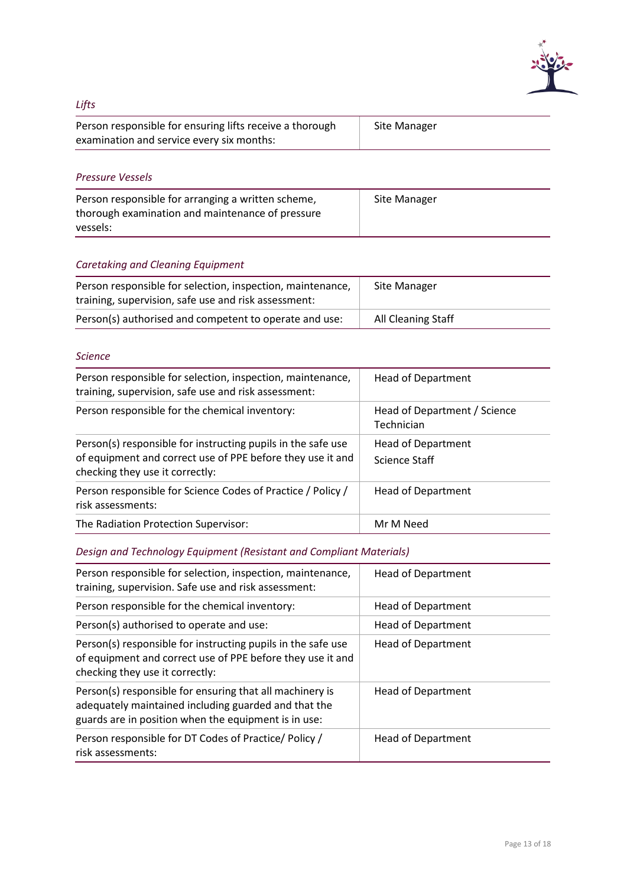

## *Lifts*

| Person responsible for ensuring lifts receive a thorough | Site Manager |
|----------------------------------------------------------|--------------|
| examination and service every six months:                |              |

#### *Pressure Vessels*

| Person responsible for arranging a written scheme, | Site Manager |
|----------------------------------------------------|--------------|
| thorough examination and maintenance of pressure   |              |
| vessels:                                           |              |

## *Caretaking and Cleaning Equipment*

| Person responsible for selection, inspection, maintenance,<br>training, supervision, safe use and risk assessment: | Site Manager       |
|--------------------------------------------------------------------------------------------------------------------|--------------------|
| Person(s) authorised and competent to operate and use:                                                             | All Cleaning Staff |

#### *Science*

| Person responsible for selection, inspection, maintenance,<br>training, supervision, safe use and risk assessment:                                            | <b>Head of Department</b>                  |
|---------------------------------------------------------------------------------------------------------------------------------------------------------------|--------------------------------------------|
| Person responsible for the chemical inventory:                                                                                                                | Head of Department / Science<br>Technician |
| Person(s) responsible for instructing pupils in the safe use<br>of equipment and correct use of PPE before they use it and<br>checking they use it correctly: | <b>Head of Department</b><br>Science Staff |
| Person responsible for Science Codes of Practice / Policy /<br>risk assessments:                                                                              | <b>Head of Department</b>                  |
| The Radiation Protection Supervisor:                                                                                                                          | Mr M Need                                  |

## *Design and Technology Equipment (Resistant and Compliant Materials)*

| Person responsible for selection, inspection, maintenance,<br>training, supervision. Safe use and risk assessment:                                                       | <b>Head of Department</b> |
|--------------------------------------------------------------------------------------------------------------------------------------------------------------------------|---------------------------|
| Person responsible for the chemical inventory:                                                                                                                           | <b>Head of Department</b> |
| Person(s) authorised to operate and use:                                                                                                                                 | <b>Head of Department</b> |
| Person(s) responsible for instructing pupils in the safe use<br>of equipment and correct use of PPE before they use it and<br>checking they use it correctly:            | <b>Head of Department</b> |
| Person(s) responsible for ensuring that all machinery is<br>adequately maintained including guarded and that the<br>guards are in position when the equipment is in use: | <b>Head of Department</b> |
| Person responsible for DT Codes of Practice/ Policy /<br>risk assessments:                                                                                               | <b>Head of Department</b> |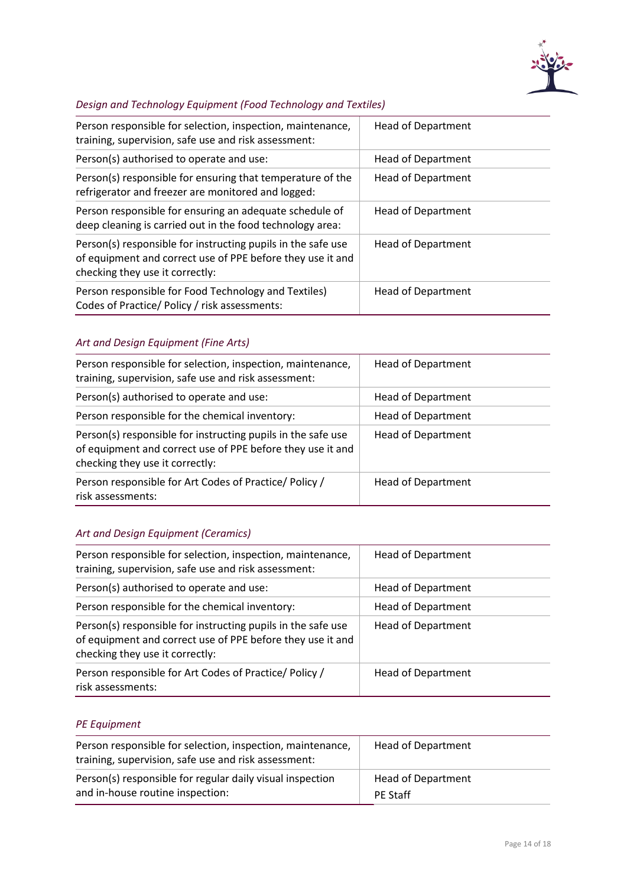

## *Design and Technology Equipment (Food Technology and Textiles)*

| Person responsible for selection, inspection, maintenance,<br>training, supervision, safe use and risk assessment:                                            | <b>Head of Department</b> |
|---------------------------------------------------------------------------------------------------------------------------------------------------------------|---------------------------|
| Person(s) authorised to operate and use:                                                                                                                      | <b>Head of Department</b> |
| Person(s) responsible for ensuring that temperature of the<br>refrigerator and freezer are monitored and logged:                                              | <b>Head of Department</b> |
| Person responsible for ensuring an adequate schedule of<br>deep cleaning is carried out in the food technology area:                                          | <b>Head of Department</b> |
| Person(s) responsible for instructing pupils in the safe use<br>of equipment and correct use of PPE before they use it and<br>checking they use it correctly: | <b>Head of Department</b> |
| Person responsible for Food Technology and Textiles)<br>Codes of Practice/ Policy / risk assessments:                                                         | <b>Head of Department</b> |

## *Art and Design Equipment (Fine Arts)*

| Person responsible for selection, inspection, maintenance,<br>training, supervision, safe use and risk assessment:                                            | <b>Head of Department</b> |
|---------------------------------------------------------------------------------------------------------------------------------------------------------------|---------------------------|
| Person(s) authorised to operate and use:                                                                                                                      | <b>Head of Department</b> |
| Person responsible for the chemical inventory:                                                                                                                | <b>Head of Department</b> |
| Person(s) responsible for instructing pupils in the safe use<br>of equipment and correct use of PPE before they use it and<br>checking they use it correctly: | <b>Head of Department</b> |
| Person responsible for Art Codes of Practice/ Policy /<br>risk assessments:                                                                                   | <b>Head of Department</b> |

## *Art and Design Equipment (Ceramics)*

| Person responsible for selection, inspection, maintenance,<br>training, supervision, safe use and risk assessment:                                            | <b>Head of Department</b> |
|---------------------------------------------------------------------------------------------------------------------------------------------------------------|---------------------------|
| Person(s) authorised to operate and use:                                                                                                                      | <b>Head of Department</b> |
| Person responsible for the chemical inventory:                                                                                                                | <b>Head of Department</b> |
| Person(s) responsible for instructing pupils in the safe use<br>of equipment and correct use of PPE before they use it and<br>checking they use it correctly: | <b>Head of Department</b> |
| Person responsible for Art Codes of Practice/ Policy /<br>risk assessments:                                                                                   | <b>Head of Department</b> |

#### *PE Equipment*

| Person responsible for selection, inspection, maintenance,<br>training, supervision, safe use and risk assessment: | Head of Department        |
|--------------------------------------------------------------------------------------------------------------------|---------------------------|
| Person(s) responsible for regular daily visual inspection                                                          | <b>Head of Department</b> |
| and in-house routine inspection:                                                                                   | <b>PE Staff</b>           |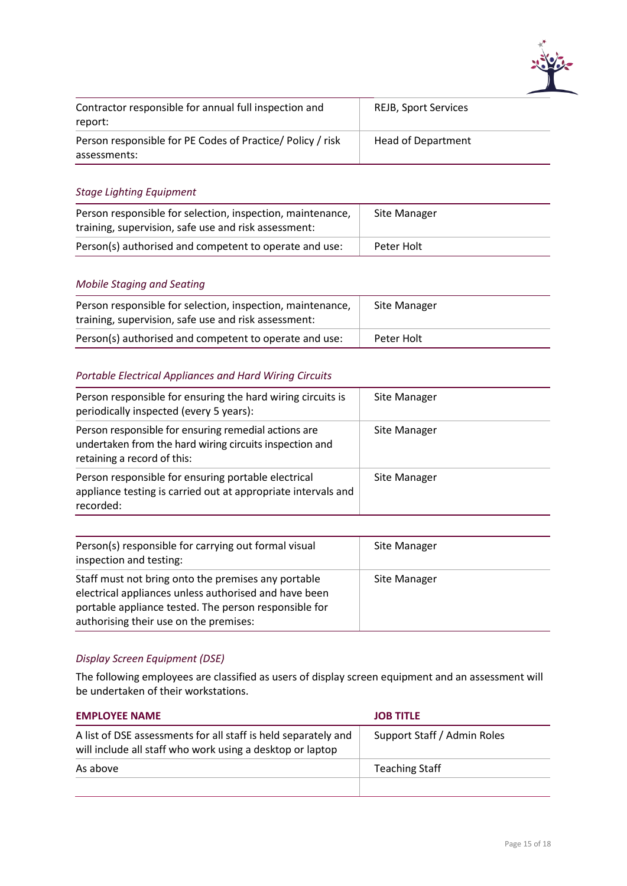

| Contractor responsible for annual full inspection and<br>report:          | <b>REJB, Sport Services</b> |
|---------------------------------------------------------------------------|-----------------------------|
| Person responsible for PE Codes of Practice/Policy / risk<br>assessments: | <b>Head of Department</b>   |

#### *Stage Lighting Equipment*

| Person responsible for selection, inspection, maintenance,<br>training, supervision, safe use and risk assessment: | Site Manager |
|--------------------------------------------------------------------------------------------------------------------|--------------|
| Person(s) authorised and competent to operate and use:                                                             | Peter Holt   |

#### *Mobile Staging and Seating*

| Person responsible for selection, inspection, maintenance,<br>training, supervision, safe use and risk assessment: | Site Manager |
|--------------------------------------------------------------------------------------------------------------------|--------------|
| Person(s) authorised and competent to operate and use:                                                             | Peter Holt   |

#### *Portable Electrical Appliances and Hard Wiring Circuits*

| Person responsible for ensuring the hard wiring circuits is<br>periodically inspected (every 5 years):                                         | Site Manager |
|------------------------------------------------------------------------------------------------------------------------------------------------|--------------|
| Person responsible for ensuring remedial actions are<br>undertaken from the hard wiring circuits inspection and<br>retaining a record of this: | Site Manager |
| Person responsible for ensuring portable electrical<br>appliance testing is carried out at appropriate intervals and<br>recorded:              | Site Manager |

| Person(s) responsible for carrying out formal visual<br>inspection and testing:                                                                                                                                 | Site Manager |
|-----------------------------------------------------------------------------------------------------------------------------------------------------------------------------------------------------------------|--------------|
| Staff must not bring onto the premises any portable<br>electrical appliances unless authorised and have been<br>portable appliance tested. The person responsible for<br>authorising their use on the premises: | Site Manager |

#### *Display Screen Equipment (DSE)*

The following employees are classified as users of display screen equipment and an assessment will be undertaken of their workstations.

| <b>EMPLOYEE NAME</b>                                                                                                        | <b>JOB TITLE</b>            |
|-----------------------------------------------------------------------------------------------------------------------------|-----------------------------|
| A list of DSE assessments for all staff is held separately and<br>will include all staff who work using a desktop or laptop | Support Staff / Admin Roles |
| As above                                                                                                                    | <b>Teaching Staff</b>       |
|                                                                                                                             |                             |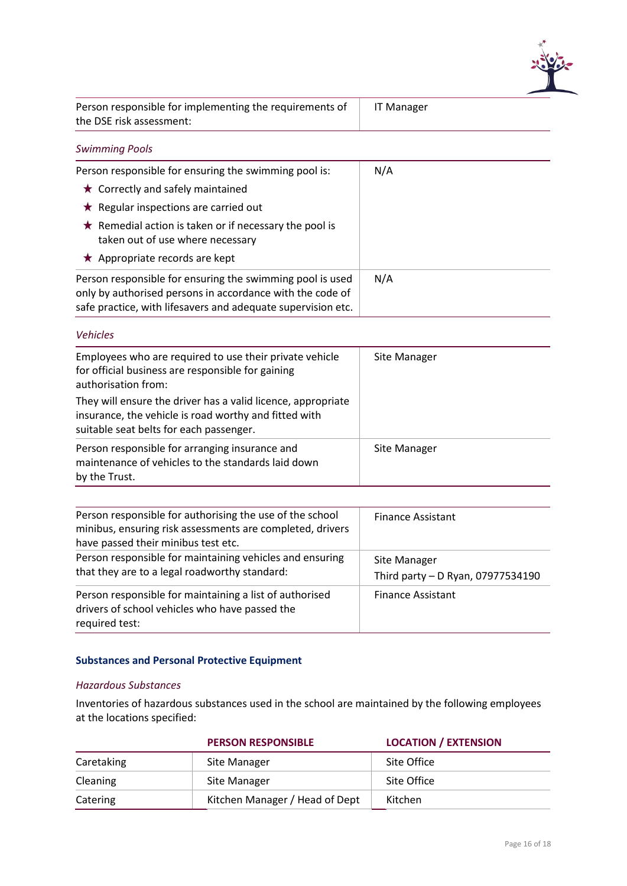

| Person responsible for implementing the requirements of | IT Mai |
|---------------------------------------------------------|--------|
| the DSE risk assessment:                                |        |

### *Swimming Pools*

| Person responsible for ensuring the swimming pool is:                                                                                                                                  | N/A |
|----------------------------------------------------------------------------------------------------------------------------------------------------------------------------------------|-----|
| $\star$ Correctly and safely maintained                                                                                                                                                |     |
| $\star$ Regular inspections are carried out                                                                                                                                            |     |
| $\star$ Remedial action is taken or if necessary the pool is<br>taken out of use where necessary                                                                                       |     |
| ★ Appropriate records are kept                                                                                                                                                         |     |
| Person responsible for ensuring the swimming pool is used<br>only by authorised persons in accordance with the code of<br>safe practice, with lifesavers and adequate supervision etc. | N/A |

#### *Vehicles*

| Employees who are required to use their private vehicle      | Site Manager |
|--------------------------------------------------------------|--------------|
| for official business are responsible for gaining            |              |
| authorisation from:                                          |              |
|                                                              |              |
| They will ensure the driver has a valid licence, appropriate |              |
| insurance, the vehicle is road worthy and fitted with        |              |
|                                                              |              |
| suitable seat belts for each passenger.                      |              |
| Person responsible for arranging insurance and               | Site Manager |
| maintenance of vehicles to the standards laid down           |              |
|                                                              |              |
| by the Trust.                                                |              |

| Person responsible for authorising the use of the school<br>minibus, ensuring risk assessments are completed, drivers<br>have passed their minibus test etc. | <b>Finance Assistant</b>                          |
|--------------------------------------------------------------------------------------------------------------------------------------------------------------|---------------------------------------------------|
| Person responsible for maintaining vehicles and ensuring<br>that they are to a legal roadworthy standard:                                                    | Site Manager<br>Third party - D Ryan, 07977534190 |
| Person responsible for maintaining a list of authorised<br>drivers of school vehicles who have passed the<br>required test:                                  | <b>Finance Assistant</b>                          |

#### <span id="page-17-0"></span>**Substances and Personal Protective Equipment**

#### *Hazardous Substances*

Inventories of hazardous substances used in the school are maintained by the following employees at the locations specified:

|            | <b>PERSON RESPONSIBLE</b>      | <b>LOCATION / EXTENSION</b> |
|------------|--------------------------------|-----------------------------|
| Caretaking | Site Manager                   | Site Office                 |
| Cleaning   | Site Manager                   | Site Office                 |
| Catering   | Kitchen Manager / Head of Dept | Kitchen                     |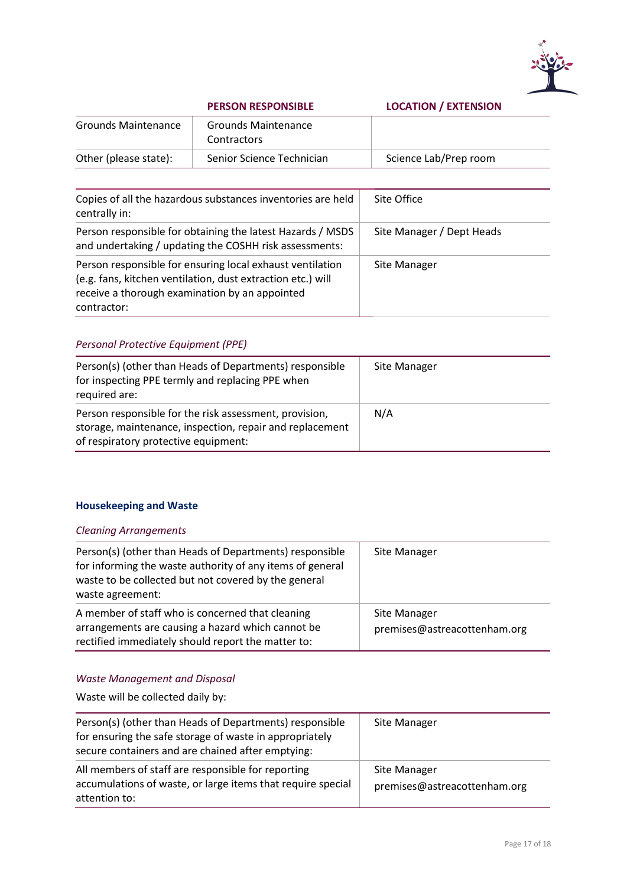

#### **PERSON RESPONSIBLE LOCATION / EXTENSION**

| <b>LOCATION / EXTENSION</b> |  |
|-----------------------------|--|
|-----------------------------|--|

| <b>Grounds Maintenance</b> | <b>Grounds Maintenance</b><br><b>Contractors</b> |                       |
|----------------------------|--------------------------------------------------|-----------------------|
| Other (please state):      | Senior Science Technician                        | Science Lab/Prep room |
|                            |                                                  |                       |

| Copies of all the hazardous substances inventories are held<br>centrally in:                                                                                                              | Site Office               |
|-------------------------------------------------------------------------------------------------------------------------------------------------------------------------------------------|---------------------------|
| Person responsible for obtaining the latest Hazards / MSDS<br>and undertaking / updating the COSHH risk assessments:                                                                      | Site Manager / Dept Heads |
| Person responsible for ensuring local exhaust ventilation<br>(e.g. fans, kitchen ventilation, dust extraction etc.) will<br>receive a thorough examination by an appointed<br>contractor: | Site Manager              |

## *Personal Protective Equipment (PPE)*

| Person(s) (other than Heads of Departments) responsible<br>for inspecting PPE termly and replacing PPE when<br>required are:                               | Site Manager |
|------------------------------------------------------------------------------------------------------------------------------------------------------------|--------------|
| Person responsible for the risk assessment, provision,<br>storage, maintenance, inspection, repair and replacement<br>of respiratory protective equipment: | N/A          |

## <span id="page-18-0"></span>**Housekeeping and Waste**

#### *Cleaning Arrangements*

| Person(s) (other than Heads of Departments) responsible<br>for informing the waste authority of any items of general<br>waste to be collected but not covered by the general<br>waste agreement: | Site Manager                                 |
|--------------------------------------------------------------------------------------------------------------------------------------------------------------------------------------------------|----------------------------------------------|
| A member of staff who is concerned that cleaning<br>arrangements are causing a hazard which cannot be<br>rectified immediately should report the matter to:                                      | Site Manager<br>premises@astreacottenham.org |

## *Waste Management and Disposal*

Waste will be collected daily by:

| Person(s) (other than Heads of Departments) responsible<br>for ensuring the safe storage of waste in appropriately<br>secure containers and are chained after emptying: | Site Manager                                 |
|-------------------------------------------------------------------------------------------------------------------------------------------------------------------------|----------------------------------------------|
| All members of staff are responsible for reporting<br>accumulations of waste, or large items that require special<br>attention to:                                      | Site Manager<br>premises@astreacottenham.org |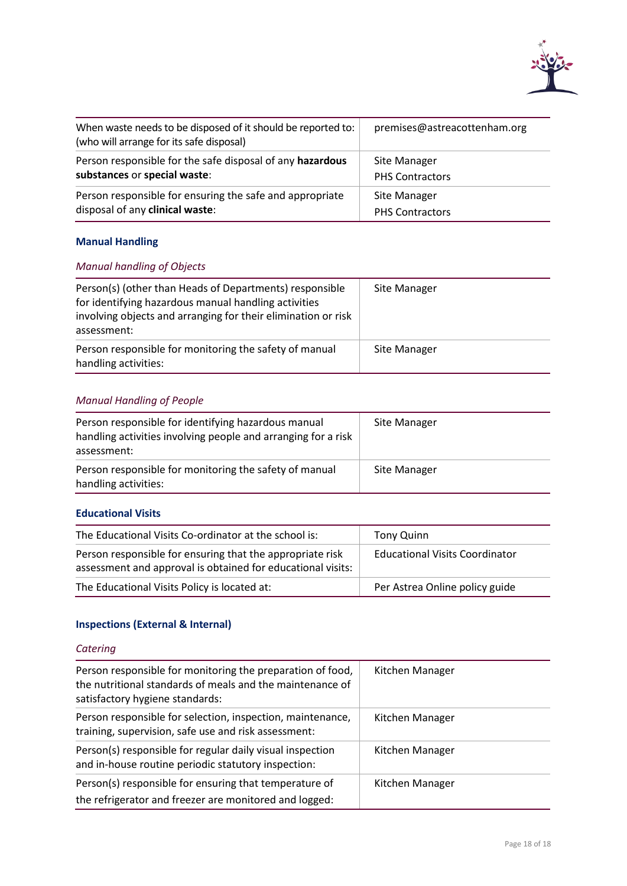

| When waste needs to be disposed of it should be reported to:<br>(who will arrange for its safe disposal) | premises@astreacottenham.org |
|----------------------------------------------------------------------------------------------------------|------------------------------|
| Person responsible for the safe disposal of any hazardous                                                | Site Manager                 |
| substances or special waste:                                                                             | <b>PHS Contractors</b>       |
| Person responsible for ensuring the safe and appropriate                                                 | Site Manager                 |
| disposal of any clinical waste:                                                                          | <b>PHS Contractors</b>       |

## <span id="page-19-0"></span>**Manual Handling**

## *Manual handling of Objects*

| Person(s) (other than Heads of Departments) responsible<br>for identifying hazardous manual handling activities<br>involving objects and arranging for their elimination or risk<br>assessment: | Site Manager |
|-------------------------------------------------------------------------------------------------------------------------------------------------------------------------------------------------|--------------|
| Person responsible for monitoring the safety of manual<br>handling activities:                                                                                                                  | Site Manager |

## *Manual Handling of People*

| Person responsible for identifying hazardous manual<br>handling activities involving people and arranging for a risk<br>assessment: | Site Manager |
|-------------------------------------------------------------------------------------------------------------------------------------|--------------|
| Person responsible for monitoring the safety of manual<br>handling activities:                                                      | Site Manager |

#### <span id="page-19-1"></span>**Educational Visits**

| The Educational Visits Co-ordinator at the school is:                                                                    | <b>Tony Quinn</b>                     |
|--------------------------------------------------------------------------------------------------------------------------|---------------------------------------|
| Person responsible for ensuring that the appropriate risk<br>assessment and approval is obtained for educational visits: | <b>Educational Visits Coordinator</b> |
| The Educational Visits Policy is located at:                                                                             | Per Astrea Online policy guide        |

## <span id="page-19-2"></span>**Inspections (External & Internal)**

## *Catering*

| Person responsible for monitoring the preparation of food,<br>the nutritional standards of meals and the maintenance of<br>satisfactory hygiene standards: | Kitchen Manager |
|------------------------------------------------------------------------------------------------------------------------------------------------------------|-----------------|
| Person responsible for selection, inspection, maintenance,<br>training, supervision, safe use and risk assessment:                                         | Kitchen Manager |
| Person(s) responsible for regular daily visual inspection<br>and in-house routine periodic statutory inspection:                                           | Kitchen Manager |
| Person(s) responsible for ensuring that temperature of<br>the refrigerator and freezer are monitored and logged:                                           | Kitchen Manager |